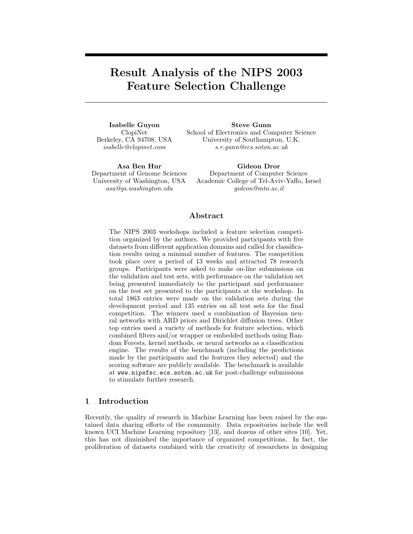# Result Analysis of the NIPS 2003 Feature Selection Challenge

Isabelle Guyon ClopiNet Berkeley, CA 94708, USA isabelle@clopinet.com

Steve Gunn School of Electronics and Computer Science University of Southampton, U.K. s.r.gunn@ecs.soton.ac.uk

Asa Ben Hur Department of Genome Sciences University of Washington, USA asa@gs.washington.edu

Gideon Dror Department of Computer Science Academic College of Tel-Aviv-Yaffo, Israel gideon@mta.ac.il

## Abstract

The NIPS 2003 workshops included a feature selection competition organized by the authors. We provided participants with five datasets from different application domains and called for classification results using a minimal number of features. The competition took place over a period of 13 weeks and attracted 78 research groups. Participants were asked to make on-line submissions on the validation and test sets, with performance on the validation set being presented immediately to the participant and performance on the test set presented to the participants at the workshop. In total 1863 entries were made on the validation sets during the development period and 135 entries on all test sets for the final competition. The winners used a combination of Bayesian neural networks with ARD priors and Dirichlet diffusion trees. Other top entries used a variety of methods for feature selection, which combined filters and/or wrapper or embedded methods using Random Forests, kernel methods, or neural networks as a classification engine. The results of the benchmark (including the predictions made by the participants and the features they selected) and the scoring software are publicly available. The benchmark is available at www.nipsfsc.ecs.soton.ac.uk for post-challenge submissions to stimulate further research.

# 1 Introduction

Recently, the quality of research in Machine Learning has been raised by the sustained data sharing efforts of the community. Data repositories include the well known UCI Machine Learning repository [13], and dozens of other sites [10]. Yet, this has not diminished the importance of organized competitions. In fact, the proliferation of datasets combined with the creativity of researchers in designing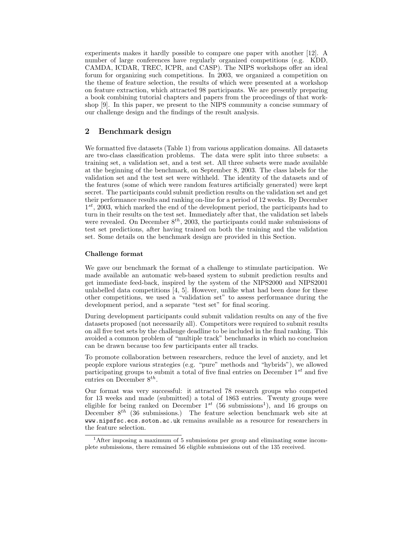experiments makes it hardly possible to compare one paper with another [12]. A number of large conferences have regularly organized competitions (e.g. KDD, CAMDA, ICDAR, TREC, ICPR, and CASP). The NIPS workshops offer an ideal forum for organizing such competitions. In 2003, we organized a competition on the theme of feature selection, the results of which were presented at a workshop on feature extraction, which attracted 98 participants. We are presently preparing a book combining tutorial chapters and papers from the proceedings of that workshop [9]. In this paper, we present to the NIPS community a concise summary of our challenge design and the findings of the result analysis.

## 2 Benchmark design

We formatted five datasets (Table 1) from various application domains. All datasets are two-class classification problems. The data were split into three subsets: a training set, a validation set, and a test set. All three subsets were made available at the beginning of the benchmark, on September 8, 2003. The class labels for the validation set and the test set were withheld. The identity of the datasets and of the features (some of which were random features artificially generated) were kept secret. The participants could submit prediction results on the validation set and get their performance results and ranking on-line for a period of 12 weeks. By December  $1^{st}$ , 2003, which marked the end of the development period, the participants had to turn in their results on the test set. Immediately after that, the validation set labels were revealed. On December  $8^{th}$ , 2003, the participants could make submissions of test set predictions, after having trained on both the training and the validation set. Some details on the benchmark design are provided in this Section.

## Challenge format

We gave our benchmark the format of a challenge to stimulate participation. We made available an automatic web-based system to submit prediction results and get immediate feed-back, inspired by the system of the NIPS2000 and NIPS2001 unlabelled data competitions  $[4, 5]$ . However, unlike what had been done for these other competitions, we used a "validation set" to assess performance during the development period, and a separate "test set" for final scoring.

During development participants could submit validation results on any of the five datasets proposed (not necessarily all). Competitors were required to submit results on all five test sets by the challenge deadline to be included in the final ranking. This avoided a common problem of "multiple track" benchmarks in which no conclusion can be drawn because too few participants enter all tracks.

To promote collaboration between researchers, reduce the level of anxiety, and let people explore various strategies (e.g. "pure" methods and "hybrids"), we allowed participating groups to submit a total of five final entries on December  $1^{st}$  and five entries on December  $8^{th}$ .

Our format was very successful: it attracted 78 research groups who competed for 13 weeks and made (submitted) a total of 1863 entries. Twenty groups were eligible for being ranked on December  $1^{st}$  (56 submissions<sup>1</sup>), and 16 groups on December  $8^{th}$  (36 submissions.) The feature selection benchmark web site at www.nipsfsc.ecs.soton.ac.uk remains available as a resource for researchers in the feature selection.

<sup>&</sup>lt;sup>1</sup>After imposing a maximum of 5 submissions per group and eliminating some incomplete submissions, there remained 56 eligible submissions out of the 135 received.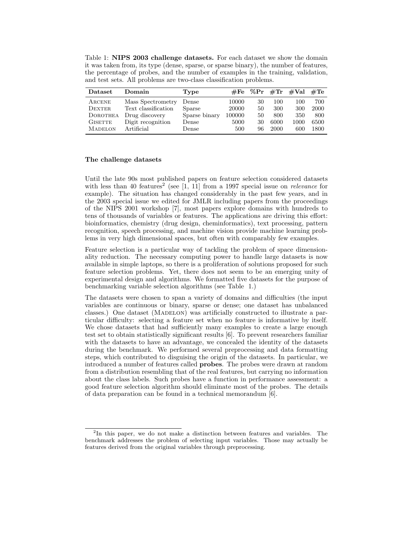Table 1: NIPS 2003 challenge datasets. For each dataset we show the domain it was taken from, its type (dense, sparse, or sparse binary), the number of features, the percentage of probes, and the number of examples in the training, validation, and test sets. All problems are two-class classification problems.

| Dataset        | Domain              | Type          |        | $\#\text{Fe}$ %Pr $\#\text{Tr}$ |      | #Val | $\#\mathrm{Te}$ |
|----------------|---------------------|---------------|--------|---------------------------------|------|------|-----------------|
| ARCENE         | Mass Spectrometry   | Dense         | 10000  | 30                              | 100  | 100  | 700             |
| <b>DEXTER</b>  | Text classification | Sparse        | 20000  | 50                              | 300  | 300  | 2000            |
| DOROTHEA       | Drug discovery      | Sparse binary | 100000 | 50                              | 800  | 350  | 800             |
| <b>GISETTE</b> | Digit recognition   | Dense         | 5000   | 30                              | 6000 | 1000 | 6500            |
| <b>MADELON</b> | Artificial          | Dense         | 500    | 96                              | 2000 | 600  | 1800            |

## The challenge datasets

Until the late 90s most published papers on feature selection considered datasets with less than 40 features<sup>2</sup> (see [1, 11] from a 1997 special issue on *relevance* for example). The situation has changed considerably in the past few years, and in the 2003 special issue we edited for JMLR including papers from the proceedings of the NIPS 2001 workshop [7], most papers explore domains with hundreds to tens of thousands of variables or features. The applications are driving this effort: bioinformatics, chemistry (drug design, cheminformatics), text processing, pattern recognition, speech processing, and machine vision provide machine learning problems in very high dimensional spaces, but often with comparably few examples.

Feature selection is a particular way of tackling the problem of space dimensionality reduction. The necessary computing power to handle large datasets is now available in simple laptops, so there is a proliferation of solutions proposed for such feature selection problems. Yet, there does not seem to be an emerging unity of experimental design and algorithms. We formatted five datasets for the purpose of benchmarking variable selection algorithms (see Table 1.)

The datasets were chosen to span a variety of domains and difficulties (the input variables are continuous or binary, sparse or dense; one dataset has unbalanced classes.) One dataset (MADELON) was artificially constructed to illustrate a particular difficulty: selecting a feature set when no feature is informative by itself. We chose datasets that had sufficiently many examples to create a large enough test set to obtain statistically significant results [6]. To prevent researchers familiar with the datasets to have an advantage, we concealed the identity of the datasets during the benchmark. We performed several preprocessing and data formatting steps, which contributed to disguising the origin of the datasets. In particular, we introduced a number of features called probes. The probes were drawn at random from a distribution resembling that of the real features, but carrying no information about the class labels. Such probes have a function in performance assessment: a good feature selection algorithm should eliminate most of the probes. The details of data preparation can be found in a technical memorandum [6].

<sup>&</sup>lt;sup>2</sup>In this paper, we do not make a distinction between features and variables. The benchmark addresses the problem of selecting input variables. Those may actually be features derived from the original variables through preprocessing.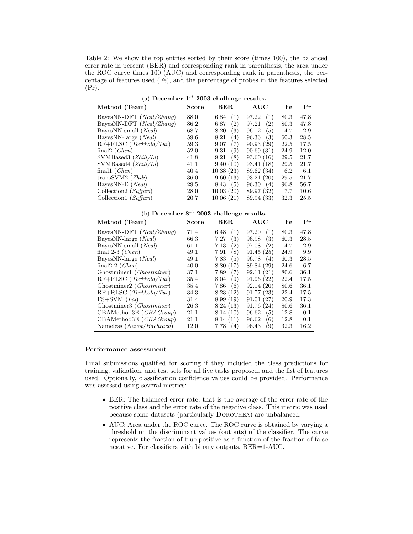Table 2: We show the top entries sorted by their score (times 100), the balanced error rate in percent (BER) and corresponding rank in parenthesis, the area under the ROC curve times 100 (AUC) and corresponding rank in parenthesis, the percentage of features used (Fe), and the percentage of probes in the features selected  $(\Pr).$ 

|  |  | (a) December $1^{st}$ 2003 challenge results. |  |  |  |  |
|--|--|-----------------------------------------------|--|--|--|--|
|--|--|-----------------------------------------------|--|--|--|--|

| Method (Team)                     | <b>Score</b> | <b>BER</b>  | $\mathbf{AUC}$ | Fe   | Pr   |
|-----------------------------------|--------------|-------------|----------------|------|------|
| BayesNN-DFT (Neal/Zhang)          | 88.0         | (1)<br>6.84 | (1)<br>97.22   | 80.3 | 47.8 |
| BayesNN-DFT ( <i>Neal/Zhang</i> ) | 86.2         | (2)<br>6.87 | (2)<br>97.21   | 80.3 | 47.8 |
| BayesNN-small ( <i>Neal</i> )     | 68.7         | 3)<br>8.20  | (5)<br>96.12   | 4.7  | 2.9  |
| BayesNN-large ( <i>Neal</i> )     | 59.6         | 8.21<br>(4) | (3)<br>96.36   | 60.3 | 28.5 |
| $RF+RLSC$ ( <i>Torkkola/Tuv</i> ) | 59.3         | (7)<br>9.07 | 90.93(29)      | 22.5 | 17.5 |
| final $2$ ( <i>Chen</i> )         | 52.0         | (9)<br>9.31 | 90.69(31)      | 24.9 | 12.0 |
| SVMBased3 $(Zhili/Li)$            | 41.8         | (8)<br>9.21 | 93.60 (16)     | 29.5 | 21.7 |
| SVMBased4 $(Zhili/Li)$            | 41.1         | 9.40(10)    | 93.41(18)      | 29.5 | 21.7 |
| finall $(Chen)$                   | 40.4         | 10.38(23)   | 89.62 (34)     | 6.2  | 6.1  |
| transSVM2 (Zhili)                 | 36.0         | 9.60(13)    | 93.21(20)      | 29.5 | 21.7 |
| BayesNN-E $(Ncal)$                | 29.5         | (5)<br>8.43 | 96.30<br>(4)   | 96.8 | 56.7 |
| Collection2 $(Saffari)$           | 28.0         | 10.03(20)   | 89.97 (32)     | 7.7  | 10.6 |
| Collection1 (Saffari)             | 20.7         | 10.06(21)   | 89.94 (33)     | 32.3 | 25.5 |

(b) December  $8^{th}$  2003 challenge results.

| Method (Team)                     | <b>Score</b> | <b>BER</b>  | AUC          | Fe   | Pr   |  |
|-----------------------------------|--------------|-------------|--------------|------|------|--|
| BayesNN-DFT (Neal/Zhang)          | 71.4         | (1)<br>6.48 | (1)<br>97.20 | 80.3 | 47.8 |  |
| BayesNN-large ( <i>Neal</i> )     | 66.3         | (3)<br>7.27 | (3)<br>96.98 | 60.3 | 28.5 |  |
| BayesNN-small (Neal)              | 61.1         | (2)<br>7.13 | 97.08<br>(2) | 4.7  | 2.9  |  |
| final $2-3$ ( <i>Chen</i> )       | 49.1         | (8)<br>7.91 | 91.45(25)    | 24.9 | 9.9  |  |
| BayesNN-large (Neal)              | 49.1         | (5)<br>7.83 | 96.78<br>(4) | 60.3 | 28.5 |  |
| final 2-2 $(Chen)$                | 40.0         | 8.80(17)    | 89.84 (29)   | 24.6 | 6.7  |  |
| Ghostminer1 ( <i>Ghostminer</i> ) | 37.1         | (7)<br>7.89 | 92.11(21)    | 80.6 | 36.1 |  |
| $RF+RLSC$ (Torkkola/Tuv)          | 35.4         | (9)<br>8.04 | 91.96(22)    | 22.4 | 17.5 |  |
| Ghostminer2 (Ghostminer)          | 35.4         | 7.86<br>(6) | 92.14(20)    | 80.6 | 36.1 |  |
| $RF+RLSC$ ( <i>Torkkola/Tuv</i> ) | 34.3         | 8.23(12)    | 91.77(23)    | 22.4 | 17.5 |  |
| $FS+SVM$ ( <i>Lal</i> )           | 31.4         | 8.99(19)    | 91.01(27)    | 20.9 | 17.3 |  |
| Ghostminer3 ( <i>Ghostminer</i> ) | 26.3         | 8.24(13)    | 91.76(24)    | 80.6 | 36.1 |  |
| CBAMethod3E (CBAGroup)            | 21.1         | 8.14(10)    | 96.62<br>(5) | 12.8 | 0.1  |  |
| CBAMethod3E (CBAGroup)            | 21.1         | 8.14(11)    | 96.62<br>(6) | 12.8 | 0.1  |  |
| Nameless (Navot/Bachrach)         | 12.0         | 7.78<br>(4) | (9)<br>96.43 | 32.3 | 16.2 |  |

#### Performance assessment

Final submissions qualified for scoring if they included the class predictions for training, validation, and test sets for all five tasks proposed, and the list of features used. Optionally, classification confidence values could be provided. Performance was assessed using several metrics:

- BER: The balanced error rate, that is the average of the error rate of the positive class and the error rate of the negative class. This metric was used because some datasets (particularly DOROTHEA) are unbalanced.
- AUC: Area under the ROC curve. The ROC curve is obtained by varying a threshold on the discriminant values (outputs) of the classifier. The curve represents the fraction of true positive as a function of the fraction of false negative. For classifiers with binary outputs, BER=1-AUC.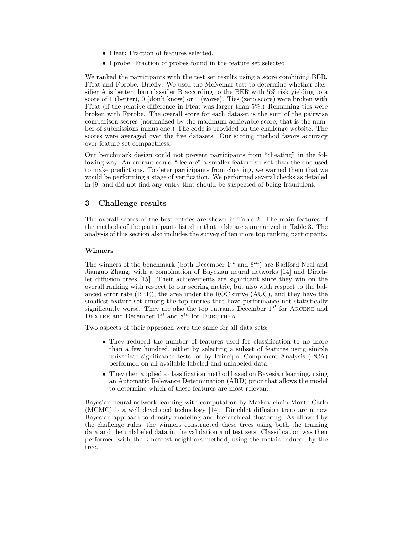- Ffeat: Fraction of features selected.
- Fprobe: Fraction of probes found in the feature set selected.

We ranked the participants with the test set results using a score combining BER, Ffeat and Fprobe. Briefly: We used the McNemar test to determine whether classifier A is better than classifier B according to the BER with 5% risk yielding to a score of 1 (better), 0 (don't know) or 1 (worse). Ties (zero score) were broken with Ffeat (if the relative difference in Ffeat was larger than 5%.) Remaining ties were broken with Fprobe. The overall score for each dataset is the sum of the pairwise comparison scores (normalized by the maximum achievable score, that is the number of submissions minus one.) The code is provided on the challenge website. The scores were averaged over the five datasets. Our scoring method favors accuracy over feature set compactness.

Our benchmark design could not prevent participants from "cheating" in the following way. An entrant could "declare" a smaller feature subset than the one used to make predictions. To deter participants from cheating, we warned them that we would be performing a stage of verification. We performed several checks as detailed in [9] and did not find any entry that should be suspected of being fraudulent.

# 3 Challenge results

The overall scores of the best entries are shown in Table 2. The main features of the methods of the participants listed in that table are summarized in Table 3. The analysis of this section also includes the survey of ten more top ranking participants.

## Winners

The winners of the benchmark (both December  $1^{st}$  and  $8^{th}$ ) are Radford Neal and Jianguo Zhang, with a combination of Bayesian neural networks [14] and Dirichlet diffusion trees [15]. Their achievements are significant since they win on the overall ranking with respect to our scoring metric, but also with respect to the balanced error rate (BER), the area under the ROC curve (AUC), and they have the smallest feature set among the top entries that have performance not statistically significantly worse. They are also the top entrants December  $1^{st}$  for ARCENE and DEXTER and December  $1^{st}$  and  $8^{th}$  for DOROTHEA.

Two aspects of their approach were the same for all data sets:

- They reduced the number of features used for classification to no more than a few hundred, either by selecting a subset of features using simple univariate significance tests, or by Principal Component Analysis (PCA) performed on all available labeled and unlabeled data.
- They then applied a classification method based on Bayesian learning, using an Automatic Relevance Determination (ARD) prior that allows the model to determine which of these features are most relevant.

Bayesian neural network learning with computation by Markov chain Monte Carlo (MCMC) is a well developed technology [14]. Dirichlet diffusion trees are a new Bayesian approach to density modeling and hierarchical clustering. As allowed by the challenge rules, the winners constructed these trees using both the training data and the unlabeled data in the validation and test sets. Classification was then performed with the k-nearest neighbors method, using the metric induced by the tree.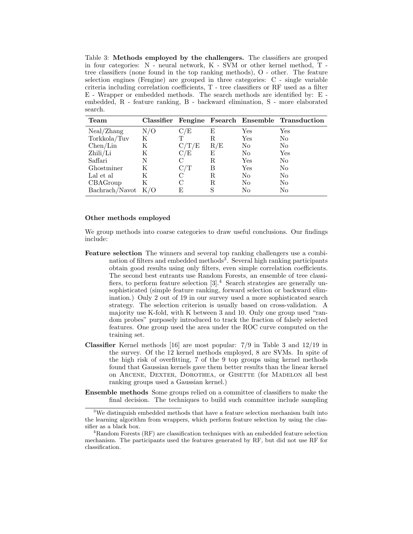Table 3: Methods employed by the challengers. The classifiers are grouped in four categories: N - neural network, K - SVM or other kernel method, T tree classifiers (none found in the top ranking methods), O - other. The feature selection engines (Fengine) are grouped in three categories: C - single variable criteria including correlation coefficients, T - tree classifiers or RF used as a filter E - Wrapper or embedded methods. The search methods are identified by: E embedded, R - feature ranking, B - backward elimination, S - more elaborated search.

| ${\bf Team}$   |     |             |     |                | Classifier Fengine Fsearch Ensemble Transduction |
|----------------|-----|-------------|-----|----------------|--------------------------------------------------|
| Neal/Zhang     | N/O | C/E         | E   | Yes            | Yes                                              |
| Torkkola/Tuv   | K   | Т           | R.  | Yes            | No                                               |
| Chen/Lin       | Κ   | $\rm C/T/E$ | R/E | No             | No                                               |
| Zhili/Li       | Κ   | C/E         | E   | No             | Yes                                              |
| Saffari        | N   |             | R.  | Yes            | No                                               |
| Ghostminer     | K   | $\rm C/T$   | В   | Yes            | No                                               |
| Lal et al.     | K   | C           | R.  | No             | No                                               |
| CBAGroup       | K   |             | R.  | No             | $\rm No$                                         |
| Bachrach/Navot | K/O | F,          |     | N <sub>o</sub> | No                                               |

## Other methods employed

We group methods into coarse categories to draw useful conclusions. Our findings include:

- Feature selection The winners and several top ranking challengers use a combination of filters and embedded methods<sup>3</sup>. Several high ranking participants obtain good results using only filters, even simple correlation coefficients. The second best entrants use Random Forests, an ensemble of tree classifiers, to perform feature selection  $[3]$ .<sup>4</sup> Search strategies are generally unsophisticated (simple feature ranking, forward selection or backward elimination.) Only 2 out of 19 in our survey used a more sophisticated search strategy. The selection criterion is usually based on cross-validation. A majority use K-fold, with K between 3 and 10. Only one group used "random probes" purposely introduced to track the fraction of falsely selected features. One group used the area under the ROC curve computed on the training set.
- Classifier Kernel methods [16] are most popular: 7/9 in Table 3 and 12/19 in the survey. Of the 12 kernel methods employed, 8 are SVMs. In spite of the high risk of overfitting, 7 of the 9 top groups using kernel methods found that Gaussian kernels gave them better results than the linear kernel on ARCENE, DEXTER, DOROTHEA, or GISETTE (for MADELON all best ranking groups used a Gaussian kernel.)
- Ensemble methods Some groups relied on a committee of classifiers to make the final decision. The techniques to build such committee include sampling

 $3W$ e distinguish embedded methods that have a feature selection mechanism built into the learning algorithm from wrappers, which perform feature selection by using the classifier as a black box.

<sup>4</sup>Random Forests (RF) are classification techniques with an embedded feature selection mechanism. The participants used the features generated by RF, but did not use RF for classification.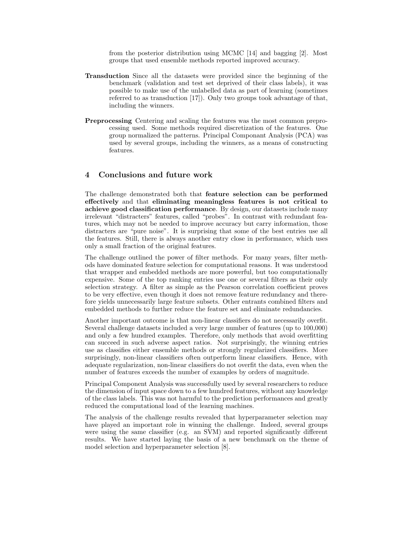from the posterior distribution using MCMC [14] and bagging [2]. Most groups that used ensemble methods reported improved accuracy.

- Transduction Since all the datasets were provided since the beginning of the benchmark (validation and test set deprived of their class labels), it was possible to make use of the unlabelled data as part of learning (sometimes referred to as transduction [17]). Only two groups took advantage of that, including the winners.
- Preprocessing Centering and scaling the features was the most common preprocessing used. Some methods required discretization of the features. One group normalized the patterns. Principal Componant Analysis (PCA) was used by several groups, including the winners, as a means of constructing features.

# 4 Conclusions and future work

The challenge demonstrated both that feature selection can be performed effectively and that eliminating meaningless features is not critical to achieve good classification performance. By design, our datasets include many irrelevant "distracters" features, called "probes". In contrast with redundant features, which may not be needed to improve accuracy but carry information, those distracters are "pure noise". It is surprising that some of the best entries use all the features. Still, there is always another entry close in performance, which uses only a small fraction of the original features.

The challenge outlined the power of filter methods. For many years, filter methods have dominated feature selection for computational reasons. It was understood that wrapper and embedded methods are more powerful, but too computationally expensive. Some of the top ranking entries use one or several filters as their only selection strategy. A filter as simple as the Pearson correlation coefficient proves to be very effective, even though it does not remove feature redundancy and therefore yields unnecessarily large feature subsets. Other entrants combined filters and embedded methods to further reduce the feature set and eliminate redundancies.

Another important outcome is that non-linear classifiers do not necessarily overfit. Several challenge datasets included a very large number of features (up to 100,000) and only a few hundred examples. Therefore, only methods that avoid overfitting can succeed in such adverse aspect ratios. Not surprisingly, the winning entries use as classifies either ensemble methods or strongly regularized classifiers. More surprisingly, non-linear classifiers often outperform linear classifiers. Hence, with adequate regularization, non-linear classifiers do not overfit the data, even when the number of features exceeds the number of examples by orders of magnitude.

Principal Component Analysis was successfully used by several researchers to reduce the dimension of input space down to a few hundred features, without any knowledge of the class labels. This was not harmful to the prediction performances and greatly reduced the computational load of the learning machines.

The analysis of the challenge results revealed that hyperparameter selection may have played an important role in winning the challenge. Indeed, several groups were using the same classifier (e.g. an SVM) and reported significantly different results. We have started laying the basis of a new benchmark on the theme of model selection and hyperparameter selection [8].